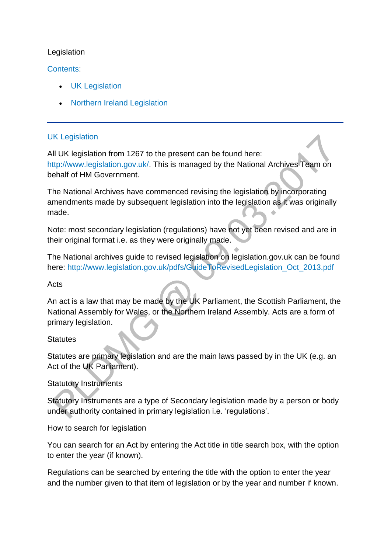#### Legislation

#### [Contents:](http://np-cmg-sharepoint.link2.gpn.gov.uk/sites/policy-law-and-decision-making-guidance/Pages)

- [UK Legislation](http://np-cmg-sharepoint.link2.gpn.gov.uk/sites/policy-law-and-decision-making-guidance/Pages/Legislation.aspx#UK)
- [Northern Ireland Legislation](http://np-cmg-sharepoint.link2.gpn.gov.uk/sites/policy-law-and-decision-making-guidance/Pages/Legislation.aspx#NI)

#### [UK Legislation](http://np-cmg-sharepoint.link2.gpn.gov.uk/sites/policy-law-and-decision-making-guidance/Pages)

All UK legislation from 1267 to the present can be found here: [http://www.legislation.gov.uk/.](http://www.legislation.gov.uk/) This is managed by the National Archives Team on behalf of HM Government.

The National Archives have commenced revising the legislation by incorporating amendments made by subsequent legislation into the legislation as it was originally made.

Note: most secondary legislation (regulations) have not yet been revised and are in their original format i.e. as they were originally made.

The National archives guide to revised legislation on legislation.gov.uk can be found here: [http://www.legislation.gov.uk/pdfs/GuideToRevisedLegislation\\_Oct\\_2013.pdf](http://www.legislation.gov.uk/pdfs/GuideToRevisedLegislation_Oct_2013.pdf)

#### **Acts**

An act is a law that may be made by the UK Parliament, the Scottish Parliament, the National Assembly for Wales, or the Northern Ireland Assembly. Acts are a form of primary legislation.

#### **Statutes**

Statutes are primary legislation and are the main laws passed by in the UK (e.g. an Act of the UK Parliament).

#### Statutory Instruments

Statutory Instruments are a type of Secondary legislation made by a person or body under authority contained in primary legislation i.e. 'regulations'.

How to search for legislation

You can search for an Act by entering the Act title in title search box, with the option to enter the year (if known).

Regulations can be searched by entering the title with the option to enter the year and the number given to that item of legislation or by the year and number if known.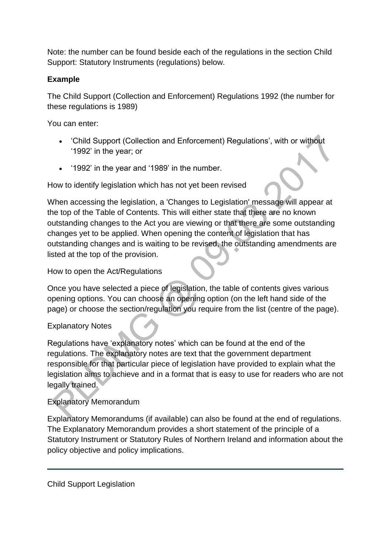Note: the number can be found beside each of the regulations in the section Child Support: Statutory Instruments (regulations) below.

### **Example**

The Child Support (Collection and Enforcement) Regulations 1992 (the number for these regulations is 1989)

You can enter:

- 'Child Support (Collection and Enforcement) Regulations', with or without '1992' in the year; or
- '1992' in the year and '1989' in the number.

How to identify legislation which has not yet been revised

When accessing the legislation, a 'Changes to Legislation' message will appear at the top of the Table of Contents. This will either state that there are no known outstanding changes to the Act you are viewing or that there are some outstanding changes yet to be applied. When opening the content of legislation that has outstanding changes and is waiting to be revised, the outstanding amendments are listed at the top of the provision.

How to open the Act/Regulations

Once you have selected a piece of legislation, the table of contents gives various opening options. You can choose an opening option (on the left hand side of the page) or choose the section/regulation you require from the list (centre of the page).

#### Explanatory Notes

Regulations have 'explanatory notes' which can be found at the end of the regulations. The explanatory notes are text that the government department responsible for that particular piece of legislation have provided to explain what the legislation aims to achieve and in a format that is easy to use for readers who are not legally trained.

#### Explanatory Memorandum

Explanatory Memorandums (if available) can also be found at the end of regulations. The Explanatory Memorandum provides a short statement of the principle of a Statutory Instrument or Statutory Rules of Northern Ireland and information about the policy objective and policy implications.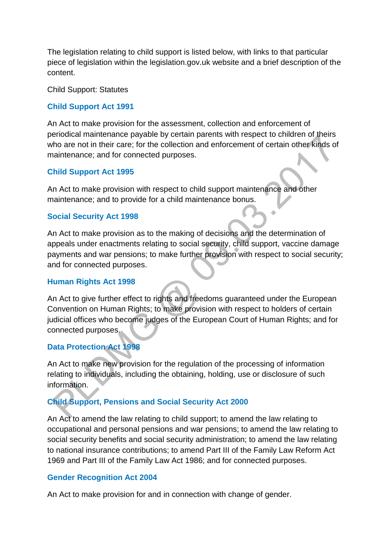The legislation relating to child support is listed below, with links to that particular piece of legislation within the legislation.gov.uk website and a brief description of the content.

Child Support: Statutes

#### **[Child Support Act 1991](http://www.legislation.gov.uk/ukpga/1991/48)**

An Act to make provision for the assessment, collection and enforcement of periodical maintenance payable by certain parents with respect to children of theirs who are not in their care; for the collection and enforcement of certain other kinds of maintenance; and for connected purposes.

#### **[Child Support Act 1995](http://www.legislation.gov.uk/ukpga/1995/34/contents)**

An Act to make provision with respect to child support maintenance and other maintenance; and to provide for a child maintenance bonus.

#### **[Social Security Act 1998](http://www.legislation.gov.uk/ukpga/1998/14/contents/enacted)**

An Act to make provision as to the making of decisions and the determination of appeals under enactments relating to social security, child support, vaccine damage payments and war pensions; to make further provision with respect to social security; and for connected purposes.

#### **[Human Rights Act 1998](http://www.legislation.gov.uk/ukpga/1998/42/contents)**

An Act to give further effect to rights and freedoms guaranteed under the European Convention on Human Rights; to make provision with respect to holders of certain judicial offices who become judges of the European Court of Human Rights; and for connected purposes.

#### **[Data Protection Act 1998](http://www.legislation.gov.uk/ukpga/1998/29/contents)**

An Act to make new provision for the regulation of the processing of information relating to individuals, including the obtaining, holding, use or disclosure of such information.

#### **[Child Support, Pensions and Social Security Act 2000](http://www.legislation.gov.uk/ukpga/2000/19/contents)**

An Act to amend the law relating to child support; to amend the law relating to occupational and personal pensions and war pensions; to amend the law relating to social security benefits and social security administration; to amend the law relating to national insurance contributions; to amend Part III of the Family Law Reform Act 1969 and Part III of the Family Law Act 1986; and for connected purposes.

#### **[Gender Recognition Act 2004](http://www.legislation.gov.uk/ukpga/2004/7/contents)**

An Act to make provision for and in connection with change of gender.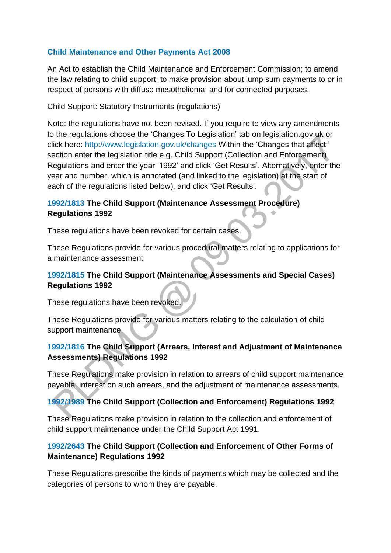#### **[Child Maintenance and Other Payments Act 2008](http://www.legislation.gov.uk/ukpga/2008/6/contents)**

An Act to establish the Child Maintenance and Enforcement Commission; to amend the law relating to child support; to make provision about lump sum payments to or in respect of persons with diffuse mesothelioma; and for connected purposes.

Child Support: Statutory Instruments (regulations)

Note: the regulations have not been revised. If you require to view any amendments to the regulations choose the 'Changes To Legislation' tab on legislation.gov.uk or click here:<http://www.legislation.gov.uk/changes> Within the 'Changes that affect:' section enter the legislation title e.g. Child Support (Collection and Enforcement) Regulations and enter the year '1992' and click 'Get Results'. Alternatively, enter the year and number, which is annotated (and linked to the legislation) at the start of each of the regulations listed below), and click 'Get Results'.

#### **[1992/1813 T](http://www.legislation.gov.uk/uksi/1992/1813/contents/made)he Child Support (Maintenance Assessment Procedure) Regulations 1992**

These regulations have been revoked for certain cases.

These Regulations provide for various procedural matters relating to applications for a maintenance assessment

#### **[1992/1815 T](http://www.legislation.gov.uk/uksi/1992/1815/contents/made)he Child Support (Maintenance Assessments and Special Cases) Regulations 1992**

These regulations have been revoked.

These Regulations provide for various matters relating to the calculation of child support maintenance.

#### **[1992/1816 T](http://www.legislation.gov.uk/uksi/1992/1816/contents)he Child Support (Arrears, Interest and Adjustment of Maintenance Assessments) Regulations 1992**

These Regulations make provision in relation to arrears of child support maintenance payable, interest on such arrears, and the adjustment of maintenance assessments.

### **[1992/1989 T](http://www.legislation.gov.uk/uksi/1992/1989/contents/made)he Child Support (Collection and Enforcement) Regulations 1992**

These Regulations make provision in relation to the collection and enforcement of child support maintenance under the Child Support Act 1991.

### **[1992/2643 T](http://www.legislation.gov.uk/uksi/1992/2643/contents)he Child Support (Collection and Enforcement of Other Forms of Maintenance) Regulations 1992**

These Regulations prescribe the kinds of payments which may be collected and the categories of persons to whom they are payable.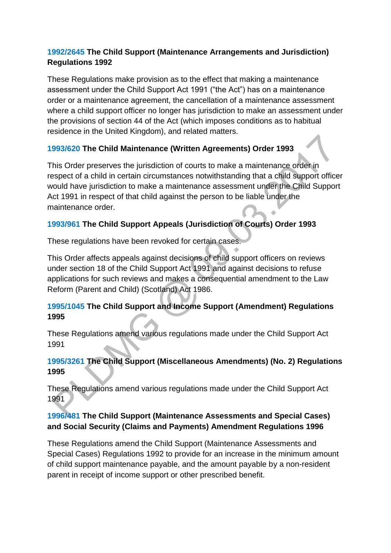#### **[1992/2645 T](http://www.legislation.gov.uk/uksi/1992/2645/contents/made)he Child Support (Maintenance Arrangements and Jurisdiction) Regulations 1992**

These Regulations make provision as to the effect that making a maintenance assessment under the Child Support Act 1991 ("the Act") has on a maintenance order or a maintenance agreement, the cancellation of a maintenance assessment where a child support officer no longer has jurisdiction to make an assessment under the provisions of section 44 of the Act (which imposes conditions as to habitual residence in the United Kingdom), and related matters.

### **[1993/620 T](http://www.legislation.gov.uk/uksi/1993/620/contents/made)he Child Maintenance (Written Agreements) Order 1993**

This Order preserves the jurisdiction of courts to make a maintenance order in respect of a child in certain circumstances notwithstanding that a child support officer would have jurisdiction to make a maintenance assessment under the Child Support Act 1991 in respect of that child against the person to be liable under the maintenance order.  $\ddot{\phantom{a}}$ 

#### **[1993/961 T](http://www.legislation.gov.uk/uksi/1993/961/contents/made)he Child Support Appeals (Jurisdiction of Courts) Order 1993**

These regulations have been revoked for certain cases.

This Order affects appeals against decisions of child support officers on reviews under section 18 of the Child Support Act 1991 and against decisions to refuse applications for such reviews and makes a consequential amendment to the Law Reform (Parent and Child) (Scotland) Act 1986.

### **[1995/1045 T](http://www.legislation.gov.uk/uksi/1995/1045/contents/made)he Child Support and Income Support (Amendment) Regulations 1995**

These Regulations amend various regulations made under the Child Support Act 1991

### **[1995/3261 T](http://www.legislation.gov.uk/uksi/1995/3261/contents/made)he Child Support (Miscellaneous Amendments) (No. 2) Regulations 1995**

These Regulations amend various regulations made under the Child Support Act 1991

### **[1996/481 T](http://www.legislation.gov.uk/uksi/1996/481/contents/made)he Child Support (Maintenance Assessments and Special Cases) and Social Security (Claims and Payments) Amendment Regulations 1996**

These Regulations amend the Child Support (Maintenance Assessments and Special Cases) Regulations 1992 to provide for an increase in the minimum amount of child support maintenance payable, and the amount payable by a non-resident parent in receipt of income support or other prescribed benefit.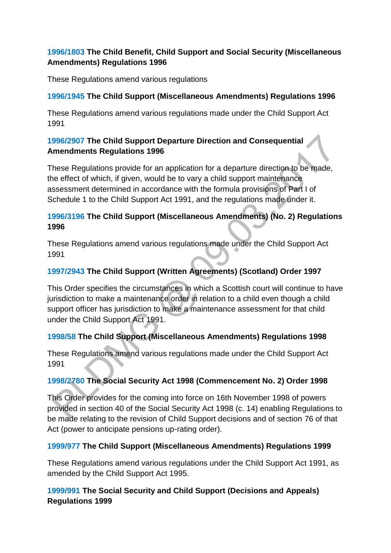#### **[1996/1803](http://www.legislation.gov.uk/uksi/1996/1803/contents/made) The Child Benefit, Child Support and Social Security (Miscellaneous Amendments) Regulations 1996**

These Regulations amend various regulations

#### **[1996/1945 T](http://www.legislation.gov.uk/uksi/1996/1945/contents/made)he Child Support (Miscellaneous Amendments) Regulations 1996**

These Regulations amend various regulations made under the Child Support Act 1991

#### **[1996/2907 T](http://www.legislation.gov.uk/uksi/1996/2907/contents/made)he Child Support Departure Direction and Consequential Amendments Regulations 1996**

These Regulations provide for an application for a departure direction to be made, the effect of which, if given, would be to vary a child support maintenance assessment determined in accordance with the formula provisions of Part I of Schedule 1 to the Child Support Act 1991, and the regulations made under it.

#### **[1996/3196 T](http://www.legislation.gov.uk/uksi/1996/3196/contents)he Child Support (Miscellaneous Amendments) (No. 2) Regulations 1996**

These Regulations amend various regulations made under the Child Support Act 1991

### **[1997/2943 T](http://www.legislation.gov.uk/uksi/1997/2943/contents/made)he Child Support (Written Agreements) (Scotland) Order 1997**

This Order specifies the circumstances in which a Scottish court will continue to have jurisdiction to make a maintenance order in relation to a child even though a child support officer has jurisdiction to make a maintenance assessment for that child under the Child Support Act 1991.

#### **[1998/58 T](http://www.legislation.gov.uk/uksi/1998/58/contents/made)he Child Support (Miscellaneous Amendments) Regulations 1998**

These Regulations amend various regulations made under the Child Support Act 1991

### **[1998/2780 T](http://www.legislation.gov.uk/uksi/1998/2780/contents/made)he Social Security Act 1998 (Commencement No. 2) Order 1998**

This Order provides for the coming into force on 16th November 1998 of powers provided in section 40 of the Social Security Act 1998 (c. 14) enabling Regulations to be made relating to the revision of Child Support decisions and of section 76 of that Act (power to anticipate pensions up-rating order).

### **[1999/977 T](http://www.legislation.gov.uk/uksi/1999/977/contents/made)he Child Support (Miscellaneous Amendments) Regulations 1999**

These Regulations amend various regulations under the Child Support Act 1991, as amended by the Child Support Act 1995.

### **[1999/991 T](http://www.legislation.gov.uk/uksi/1999/991/contents/made)he Social Security and Child Support (Decisions and Appeals) Regulations 1999**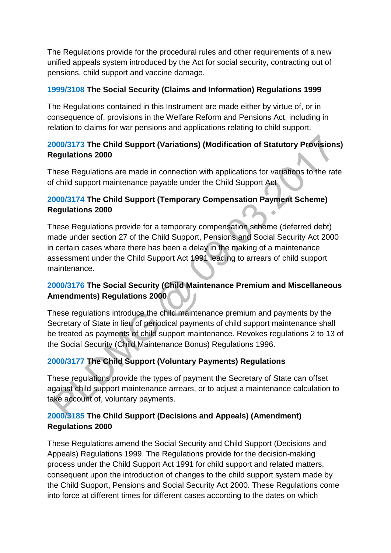The Regulations provide for the procedural rules and other requirements of a new unified appeals system introduced by the Act for social security, contracting out of pensions, child support and vaccine damage.

#### **[1999/3108 T](http://www.legislation.gov.uk/uksi/1999/3108/contents/made)he Social Security (Claims and Information) Regulations 1999**

The Regulations contained in this Instrument are made either by virtue of, or in consequence of, provisions in the Welfare Reform and Pensions Act, including in relation to claims for war pensions and applications relating to child support.

# **[2000/3173 T](http://www.legislation.gov.uk/uksi/2000/3173/contents/made)he Child Support (Variations) (Modification of Statutory Provisions) Regulations 2000**

These Regulations are made in connection with applications for variations to the rate of child support maintenance payable under the Child Support Act

### **[2000/3174 T](http://www.legislation.gov.uk/uksi/2000/3174/contents)he Child Support (Temporary Compensation Payment Scheme) Regulations 2000**

These Regulations provide for a temporary compensation scheme (deferred debt) made under section 27 of the Child Support, Pensions and Social Security Act 2000 in certain cases where there has been a delay in the making of a maintenance assessment under the Child Support Act 1991 leading to arrears of child support maintenance.

### **[2000/3176 T](http://www.legislation.gov.uk/uksi/2000/3176/contents/made)he Social Security (Child Maintenance Premium and Miscellaneous Amendments) Regulations 2000**

These regulations introduce the child maintenance premium and payments by the Secretary of State in lieu of periodical payments of child support maintenance shall be treated as payments of child support maintenance. Revokes regulations 2 to 13 of the Social Security (Child Maintenance Bonus) Regulations 1996.

### **[2000/3177 T](http://www.legislation.gov.uk/uksi/2000/3177/contents/made)he Child Support (Voluntary Payments) Regulations**

These regulations provide the types of payment the Secretary of State can offset against child support maintenance arrears, or to adjust a maintenance calculation to take account of, voluntary payments.

# **[2000/3185 T](http://www.legislation.gov.uk/uksi/2000/3185/contents/made)he Child Support (Decisions and Appeals) (Amendment) Regulations 2000**

These Regulations amend the Social Security and Child Support (Decisions and Appeals) Regulations 1999. The Regulations provide for the decision-making process under the Child Support Act 1991 for child support and related matters, consequent upon the introduction of changes to the child support system made by the Child Support, Pensions and Social Security Act 2000. These Regulations come into force at different times for different cases according to the dates on which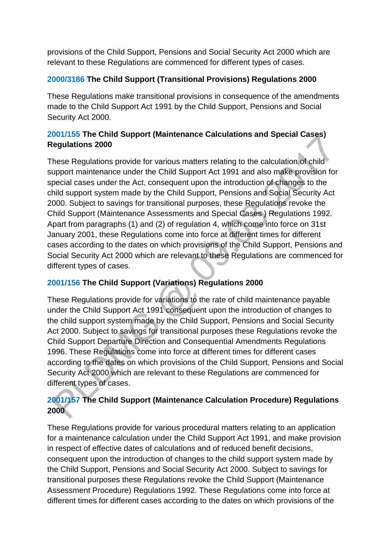provisions of the Child Support, Pensions and Social Security Act 2000 which are relevant to these Regulations are commenced for different types of cases.

#### **[2000/3186 T](http://www.legislation.gov.uk/uksi/2000/3186/contents/made)he Child Support (Transitional Provisions) Regulations 2000**

These Regulations make transitional provisions in consequence of the amendments made to the Child Support Act 1991 by the Child Support, Pensions and Social Security Act 2000.

### **[2001/155](http://www.legislation.gov.uk/uksi/2001/155/contents/made) The Child Support (Maintenance Calculations and Special Cases) Regulations 2000**

These Regulations provide for various matters relating to the calculation of child support maintenance under the Child Support Act 1991 and also make provision for special cases under the Act, consequent upon the introduction of changes to the child support system made by the Child Support, Pensions and Social Security Act 2000. Subject to savings for transitional purposes, these Regulations revoke the Child Support (Maintenance Assessments and Special Cases ) Regulations 1992. Apart from paragraphs (1) and (2) of regulation 4, which come into force on 31st January 2001, these Regulations come into force at different times for different cases according to the dates on which provisions of the Child Support, Pensions and Social Security Act 2000 which are relevant to these Regulations are commenced for different types of cases.

### **[2001/156 T](http://www.legislation.gov.uk/uksi/2001/156/contents/made)he Child Support (Variations) Regulations 2000**

These Regulations provide for variations to the rate of child maintenance payable under the Child Support Act 1991 consequent upon the introduction of changes to the child support system made by the Child Support, Pensions and Social Security Act 2000. Subject to savings for transitional purposes these Regulations revoke the Child Support Departure Direction and Consequential Amendments Regulations 1996. These Regulations come into force at different times for different cases according to the dates on which provisions of the Child Support, Pensions and Social Security Act 2000 which are relevant to these Regulations are commenced for different types of cases.

# **[2001/157 T](http://www.legislation.gov.uk/uksi/2001/157/contents/made)he Child Support (Maintenance Calculation Procedure) Regulations 2000**

These Regulations provide for various procedural matters relating to an application for a maintenance calculation under the Child Support Act 1991, and make provision in respect of effective dates of calculations and of reduced benefit decisions, consequent upon the introduction of changes to the child support system made by the Child Support, Pensions and Social Security Act 2000. Subject to savings for transitional purposes these Regulations revoke the Child Support (Maintenance Assessment Procedure) Regulations 1992. These Regulations come into force at different times for different cases according to the dates on which provisions of the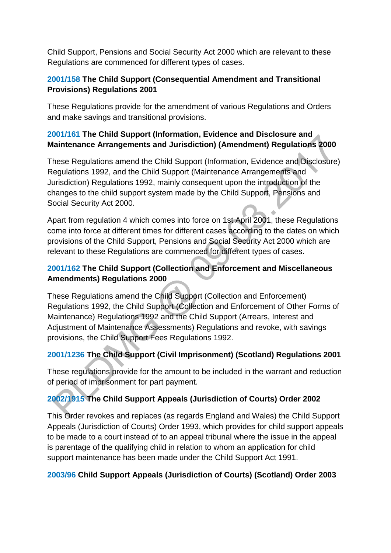Child Support, Pensions and Social Security Act 2000 which are relevant to these Regulations are commenced for different types of cases.

#### **[2001/158 T](http://www.legislation.gov.uk/uksi/2001/158/contents)he Child Support (Consequential Amendment and Transitional Provisions) Regulations 2001**

These Regulations provide for the amendment of various Regulations and Orders and make savings and transitional provisions.

#### **[2001/161 T](http://www.legislation.gov.uk/uksi/2001/161/contents/made)he Child Support (Information, Evidence and Disclosure and Maintenance Arrangements and Jurisdiction) (Amendment) Regulations 2000**

These Regulations amend the Child Support (Information, Evidence and Disclosure) Regulations 1992, and the Child Support (Maintenance Arrangements and Jurisdiction) Regulations 1992, mainly consequent upon the introduction of the changes to the child support system made by the Child Support, Pensions and Social Security Act 2000.

Apart from regulation 4 which comes into force on 1st April 2001, these Regulations come into force at different times for different cases according to the dates on which provisions of the Child Support, Pensions and Social Security Act 2000 which are relevant to these Regulations are commenced for different types of cases.

# **[2001/162 T](http://www.legislation.gov.uk/uksi/2001/162/contents/made)he Child Support (Collection and Enforcement and Miscellaneous Amendments) Regulations 2000**

These Regulations amend the Child Support (Collection and Enforcement) Regulations 1992, the Child Support (Collection and Enforcement of Other Forms of Maintenance) Regulations 1992 and the Child Support (Arrears, Interest and Adjustment of Maintenance Assessments) Regulations and revoke, with savings provisions, the Child Support Fees Regulations 1992.

# **[2001/1236 T](http://www.legislation.gov.uk/uksi/2001/1236/contents/made)he Child Support (Civil Imprisonment) (Scotland) Regulations 2001**

These regulations provide for the amount to be included in the warrant and reduction of period of imprisonment for part payment.

# **[2002/1915 T](http://www.legislation.gov.uk/uksi/2002/1915/contents)he Child Support Appeals (Jurisdiction of Courts) Order 2002**

This Order revokes and replaces (as regards England and Wales) the Child Support Appeals (Jurisdiction of Courts) Order 1993, which provides for child support appeals to be made to a court instead of to an appeal tribunal where the issue in the appeal is parentage of the qualifying child in relation to whom an application for child support maintenance has been made under the Child Support Act 1991.

### **[2003/96 C](http://www.legislation.gov.uk/ssi/2003/96/contents/made)hild Support Appeals (Jurisdiction of Courts) (Scotland) Order 2003**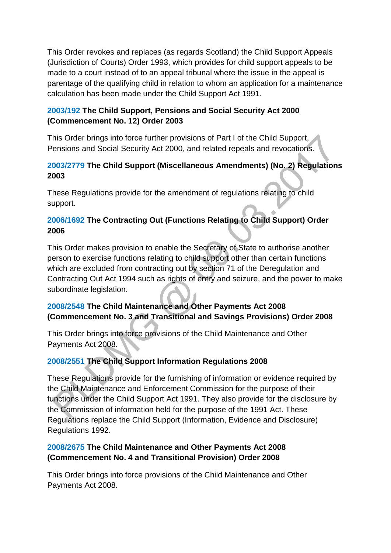This Order revokes and replaces (as regards Scotland) the Child Support Appeals (Jurisdiction of Courts) Order 1993, which provides for child support appeals to be made to a court instead of to an appeal tribunal where the issue in the appeal is parentage of the qualifying child in relation to whom an application for a maintenance calculation has been made under the Child Support Act 1991.

#### **[2003/192 T](http://www.legislation.gov.uk/uksi/2003/192/contents)he Child Support, Pensions and Social Security Act 2000 (Commencement No. 12) Order 2003**

This Order brings into force further provisions of Part I of the Child Support, Pensions and Social Security Act 2000, and related repeals and revocations.

### **[2003/2779 T](http://www.legislation.gov.uk/uksi/2003/2779/contents/made)he Child Support (Miscellaneous Amendments) (No. 2) Regulations 2003**

These Regulations provide for the amendment of regulations relating to child support.

### **[2006/1692 T](http://www.legislation.gov.uk/uksi/2006/1692/contents/made)he Contracting Out (Functions Relating to Child Support) Order 2006**

This Order makes provision to enable the Secretary of State to authorise another person to exercise functions relating to child support other than certain functions which are excluded from contracting out by section 71 of the Deregulation and Contracting Out Act 1994 such as rights of entry and seizure, and the power to make subordinate legislation.

# **[2008/2548 T](http://www.legislation.gov.uk/uksi/2008/2548/contents/made)he Child Maintenance and Other Payments Act 2008 (Commencement No. 3 and Transitional and Savings Provisions) Order 2008**

This Order brings into force provisions of the Child Maintenance and Other Payments Act 2008.

### **[2008/2551 T](http://www.legislation.gov.uk/uksi/2008/2551/contents/made)he Child Support Information Regulations 2008**

These Regulations provide for the furnishing of information or evidence required by the Child Maintenance and Enforcement Commission for the purpose of their functions under the Child Support Act 1991. They also provide for the disclosure by the Commission of information held for the purpose of the 1991 Act. These Regulations replace the Child Support (Information, Evidence and Disclosure) Regulations 1992.

### **[2008/2675](http://www.legislation.gov.uk/uksi/2008/2675/contents/made) The Child Maintenance and Other Payments Act 2008 (Commencement No. 4 and Transitional Provision) Order 2008**

This Order brings into force provisions of the Child Maintenance and Other Payments Act 2008.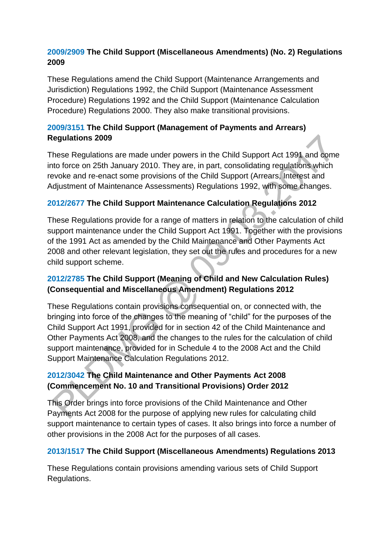#### **[2009/2909](http://www.legislation.gov.uk/uksi/2009/2909/contents/made) The Child Support (Miscellaneous Amendments) (No. 2) Regulations 2009**

These Regulations amend the Child Support (Maintenance Arrangements and Jurisdiction) Regulations 1992, the Child Support (Maintenance Assessment Procedure) Regulations 1992 and the Child Support (Maintenance Calculation Procedure) Regulations 2000. They also make transitional provisions.

#### **[2009/3151 T](http://www.legislation.gov.uk/uksi/2009/3151/contents/made)he Child Support (Management of Payments and Arrears) Regulations 2009**

These Regulations are made under powers in the Child Support Act 1991 and come into force on 25th January 2010. They are, in part, consolidating regulations which revoke and re-enact some provisions of the Child Support (Arrears, Interest and Adjustment of Maintenance Assessments) Regulations 1992, with some changes.

### **[2012/2677 T](http://www.legislation.gov.uk/uksi/2012/2677/contents/made)he Child Support Maintenance Calculation Regulations 2012**

These Regulations provide for a range of matters in relation to the calculation of child support maintenance under the Child Support Act 1991. Together with the provisions of the 1991 Act as amended by the Child Maintenance and Other Payments Act 2008 and other relevant legislation, they set out the rules and procedures for a new child support scheme.

#### **[2012/2785 T](http://www.legislation.gov.uk/uksi/2012/2785/contents/made)he Child Support (Meaning of Child and New Calculation Rules) (Consequential and Miscellaneous Amendment) Regulations 2012**

These Regulations contain provisions consequential on, or connected with, the bringing into force of the changes to the meaning of "child" for the purposes of the Child Support Act 1991, provided for in section 42 of the Child Maintenance and Other Payments Act 2008, and the changes to the rules for the calculation of child support maintenance, provided for in Schedule 4 to the 2008 Act and the Child Support Maintenance Calculation Regulations 2012.

### **[2012/3042 T](http://www.legislation.gov.uk/uksi/2012/3042/contents/made)he Child Maintenance and Other Payments Act 2008 (Commencement No. 10 and Transitional Provisions) Order 2012**

This Order brings into force provisions of the Child Maintenance and Other Payments Act 2008 for the purpose of applying new rules for calculating child support maintenance to certain types of cases. It also brings into force a number of other provisions in the 2008 Act for the purposes of all cases.

### **[2013/1517 T](http://www.legislation.gov.uk/uksi/2013/1517/contents/made)he Child Support (Miscellaneous Amendments) Regulations 2013**

These Regulations contain provisions amending various sets of Child Support Regulations.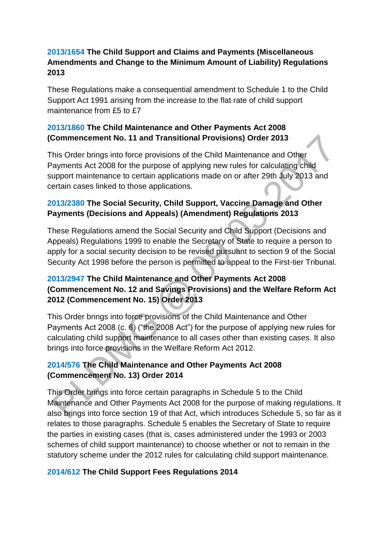#### **[2013/1654 T](http://www.legislation.gov.uk/uksi/2013/1654/contents/made)he Child Support and Claims and Payments (Miscellaneous Amendments and Change to the Minimum Amount of Liability) Regulations 2013**

These Regulations make a consequential amendment to Schedule 1 to the Child Support Act 1991 arising from the increase to the flat rate of child support maintenance from £5 to £7

#### **[2013/1860](http://www.legislation.gov.uk/uksi/2013/1860/contents/made) The Child Maintenance and Other Payments Act 2008 (Commencement No. 11 and Transitional Provisions) Order 2013**

This Order brings into force provisions of the Child Maintenance and Other Payments Act 2008 for the purpose of applying new rules for calculating child support maintenance to certain applications made on or after 29th July 2013 and certain cases linked to those applications.

#### **[2013/2380 T](http://www.legislation.gov.uk/uksi/2013/2380/contents/made)he Social Security, Child Support, Vaccine Damage and Other Payments (Decisions and Appeals) (Amendment) Regulations 2013**

These Regulations amend the Social Security and Child Support (Decisions and Appeals) Regulations 1999 to enable the Secretary of State to require a person to apply for a social security decision to be revised pursuant to section 9 of the Social Security Act 1998 before the person is permitted to appeal to the First-tier Tribunal.

#### **[2013/2947 T](http://www.legislation.gov.uk/uksi/2013/2947/contents/made)he Child Maintenance and Other Payments Act 2008 (Commencement No. 12 and Savings Provisions) and the Welfare Reform Act 2012 (Commencement No. 15) Order 2013**

This Order brings into force provisions of the Child Maintenance and Other Payments Act 2008 (c. 6) ("the 2008 Act") for the purpose of applying new rules for calculating child support maintenance to all cases other than existing cases. It also brings into force provisions in the Welfare Reform Act 2012.

### **[2014/576 T](http://www.legislation.gov.uk/uksi/2014/576/contents/made)he Child Maintenance and Other Payments Act 2008 (Commencement No. 13) Order 2014**

This Order brings into force certain paragraphs in Schedule 5 to the Child Maintenance and Other Payments Act 2008 for the purpose of making regulations. It also brings into force section 19 of that Act, which introduces Schedule 5, so far as it relates to those paragraphs. Schedule 5 enables the Secretary of State to require the parties in existing cases (that is, cases administered under the 1993 or 2003 schemes of child support maintenance) to choose whether or not to remain in the statutory scheme under the 2012 rules for calculating child support maintenance.

### **[2014/612 T](http://www.legislation.gov.uk/uksi/2014/612/contents/made)he Child Support Fees Regulations 2014**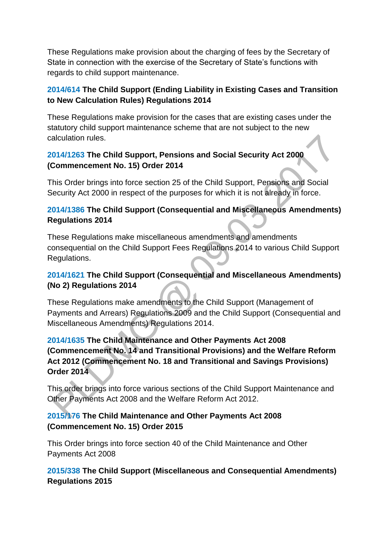These Regulations make provision about the charging of fees by the Secretary of State in connection with the exercise of the Secretary of State's functions with regards to child support maintenance.

#### **[2014/614](http://www.legislation.gov.uk/uksi/2014/614/contents/made) The Child Support (Ending Liability in Existing Cases and Transition to New Calculation Rules) Regulations 2014**

These Regulations make provision for the cases that are existing cases under the statutory child support maintenance scheme that are not subject to the new calculation rules.

#### **[2014/1263 T](http://www.legislation.gov.uk/uksi/2014/1263/contents/made)he Child Support, Pensions and Social Security Act 2000 (Commencement No. 15) Order 2014**

This Order brings into force section 25 of the Child Support, Pensions and Social Security Act 2000 in respect of the purposes for which it is not already in force.

#### **[2014/1386 T](http://www.legislation.gov.uk/uksi/2014/1386/contents/made)he Child Support (Consequential and Miscellaneous Amendments) Regulations 2014**

These Regulations make miscellaneous amendments and amendments consequential on the Child Support Fees Regulations 2014 to various Child Support Regulations.

#### **[2014/1621 T](http://www.legislation.gov.uk/uksi/2014/1621/contents/made)he Child Support (Consequential and Miscellaneous Amendments) (No 2) Regulations 2014**

These Regulations make amendments to the Child Support (Management of Payments and Arrears) Regulations 2009 and the Child Support (Consequential and Miscellaneous Amendments) Regulations 2014.

### **[2014/1635 T](http://www.legislation.gov.uk/uksi/2014/1635/contents/made)he Child Maintenance and Other Payments Act 2008 (Commencement No. 14 and Transitional Provisions) and the Welfare Reform Act 2012 (Commencement No. 18 and Transitional and Savings Provisions) Order 2014**

This order brings into force various sections of the Child Support Maintenance and Other Payments Act 2008 and the Welfare Reform Act 2012.

### **[2015/176 T](http://www.legislation.gov.uk/uksi/2015/176/contents/made)he Child Maintenance and Other Payments Act 2008 (Commencement No. 15) Order 2015**

This Order brings into force section 40 of the Child Maintenance and Other Payments Act 2008

**[2015/338 T](http://www.legislation.gov.uk/uksi/2015/338/contents/made)he Child Support (Miscellaneous and Consequential Amendments) Regulations 2015**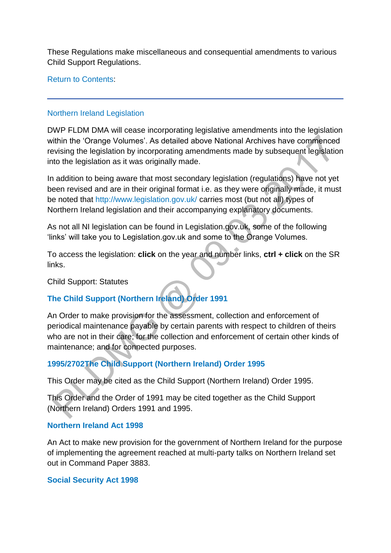These Regulations make miscellaneous and consequential amendments to various Child Support Regulations.

[Return to Contents:](http://np-cmg-sharepoint.link2.gpn.gov.uk/sites/policy-law-and-decision-making-guidance/Pages/Legislation.aspx#contents)

#### [Northern Ireland Legislation](http://np-cmg-sharepoint.link2.gpn.gov.uk/sites/policy-law-and-decision-making-guidance/Pages)

DWP FLDM DMA will cease incorporating legislative amendments into the legislation within the 'Orange Volumes'. As detailed above National Archives have commenced revising the legislation by incorporating amendments made by subsequent legislation into the legislation as it was originally made.

In addition to being aware that most secondary legislation (regulations) have not yet been revised and are in their original format i.e. as they were originally made, it must be noted that<http://www.legislation.gov.uk/> carries most (but not all) types of Northern Ireland legislation and their accompanying explanatory documents.

As not all NI legislation can be found in Legislation.gov.uk, some of the following 'links' will take you to Legislation.gov.uk and some to the Orange Volumes.

To access the legislation: **click** on the year and number links, **ctrl + click** on the SR links.

Child Support: Statutes

# **[The Child Support \(Northern Ireland\) Order 1991](http://www.legislation.gov.uk/nisi/1991/2628/contents)**

An Order to make provision for the assessment, collection and enforcement of periodical maintenance payable by certain parents with respect to children of theirs who are not in their care; for the collection and enforcement of certain other kinds of maintenance; and for connected purposes.

### **[1995/2702The Child Support \(Northern Ireland\) Order 1995](http://www.legislation.gov.uk/nisi/1995/2702/part/1)**

This Order may be cited as the Child Support (Northern Ireland) Order 1995.

This Order and the Order of 1991 may be cited together as the Child Support (Northern Ireland) Orders 1991 and 1995.

#### **[Northern Ireland Act 1998](http://www.legislation.gov.uk/ukpga/1998/47/contents)**

An Act to make new provision for the government of Northern Ireland for the purpose of implementing the agreement reached at multi-party talks on Northern Ireland set out in Command Paper 3883.

#### **[Social Security Act 1998](http://www.legislation.gov.uk/ukpga/1998/14/contents/enacted)**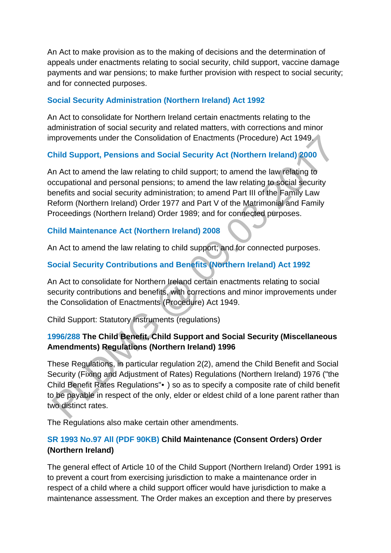An Act to make provision as to the making of decisions and the determination of appeals under enactments relating to social security, child support, vaccine damage payments and war pensions; to make further provision with respect to social security; and for connected purposes.

#### **[Social Security Administration \(Northern Ireland\) Act 1992](http://www.legislation.gov.uk/ukpga/1992/8/contents)**

An Act to consolidate for Northern Ireland certain enactments relating to the administration of social security and related matters, with corrections and minor improvements under the Consolidation of Enactments (Procedure) Act 1949.

#### **[Child Support, Pensions and Social Security Act \(Northern Ireland\) 2000](http://www.legislation.gov.uk/nia/2000/4/contents)**

An Act to amend the law relating to child support; to amend the law relating to occupational and personal pensions; to amend the law relating to social security benefits and social security administration; to amend Part III of the Family Law Reform (Northern Ireland) Order 1977 and Part V of the Matrimonial and Family Proceedings (Northern Ireland) Order 1989; and for connected purposes.

#### **[Child Maintenance Act \(Northern Ireland\) 2008](http://www.legislation.gov.uk/nia/2008/10/contents)**

An Act to amend the law relating to child support; and for connected purposes.

### **[Social Security Contributions and Benefits \(Northern Ireland\) Act 1992](http://www.legislation.gov.uk/ukpga/1992/7/contents)**

An Act to consolidate for Northern Ireland certain enactments relating to social security contributions and benefits, with corrections and minor improvements under the Consolidation of Enactments (Procedure) Act 1949.

Child Support: Statutory Instruments (regulations)

#### **[1996/288 T](http://www.legislation.gov.uk/nisr/1996/288/contents/made)he Child Benefit, Child Support and Social Security (Miscellaneous Amendments) Regulations (Northern Ireland) 1996**

These Regulations, in particular regulation 2(2), amend the Child Benefit and Social Security (Fixing and Adjustment of Rates) Regulations (Northern Ireland) 1976 ("the Child Benefit Rates Regulations"•) so as to specify a composite rate of child benefit to be payable in respect of the only, elder or eldest child of a lone parent rather than two distinct rates.

The Regulations also make certain other amendments.

### **[SR 1993 No.97 All \(PDF 90KB\)](http://iaccess.communityaccess.gov.uk/sspldorangevolumesinternet/users/Viewattachment.aspx?recordid=9X16ArKPDs0=) Child Maintenance (Consent Orders) Order (Northern Ireland)**

The general effect of Article 10 of the Child Support (Northern Ireland) Order 1991 is to prevent a court from exercising jurisdiction to make a maintenance order in respect of a child where a child support officer would have jurisdiction to make a maintenance assessment. The Order makes an exception and there by preserves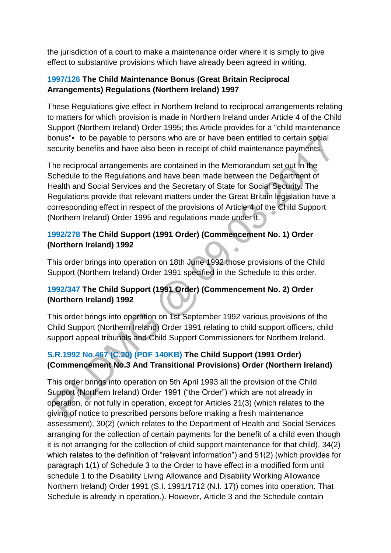the jurisdiction of a court to make a maintenance order where it is simply to give effect to substantive provisions which have already been agreed in writing.

#### **[1997/126 T](http://www.legislation.gov.uk/nisr/1997/126/contents/made)he Child Maintenance Bonus (Great Britain Reciprocal Arrangements) Regulations (Northern Ireland) 1997**

These Regulations give effect in Northern Ireland to reciprocal arrangements relating to matters for which provision is made in Northern Ireland under Article 4 of the Child Support (Northern Ireland) Order 1995; this Article provides for a "child maintenance bonus"• to be payable to persons who are or have been entitled to certain social security benefits and have also been in receipt of child maintenance payments.

The reciprocal arrangements are contained in the Memorandum set out in the Schedule to the Regulations and have been made between the Department of Health and Social Services and the Secretary of State for Social Security. The Regulations provide that relevant matters under the Great Britain legislation have a corresponding effect in respect of the provisions of Article 4 of the Child Support (Northern Ireland) Order 1995 and regulations made under it.

#### **[1992/278](http://www.legislation.gov.uk/nisr/1992/278/contents/sld/made) The Child Support (1991 Order) (Commencement No. 1) Order (Northern Ireland) 1992**

This order brings into operation on 18th June 1992 those provisions of the Child Support (Northern Ireland) Order 1991 specified in the Schedule to this order.

### **[1992/347](http://www.legislation.gov.uk/nisr/1992/347/contents/sld/made) The Child Support (1991 Order) (Commencement No. 2) Order (Northern Ireland) 1992**

This order brings into operation on 1st September 1992 various provisions of the Child Support (Northern Ireland) Order 1991 relating to child support officers, child support appeal tribunals and Child Support Commissioners for Northern Ireland.

# **[S.R.1992 No.467 \(C.20\) \(PDF 140KB\)](http://iaccess.communityaccess.gov.uk/sspldorangevolumesinternet/users/Viewattachment.aspx?recordid=joh6Yym3+RI=) The Child Support (1991 Order) (Commencement No.3 And Transitional Provisions) Order (Northern Ireland)**

This order brings into operation on 5th April 1993 all the provision of the Child Support (Northern Ireland) Order 1991 ("the Order") which are not already in operation, or not fully in operation, except for Articles 21(3) (which relates to the giving of notice to prescribed persons before making a fresh maintenance assessment), 30(2) (which relates to the Department of Health and Social Services arranging for the collection of certain payments for the benefit of a child even though it is not arranging for the collection of child support maintenance for that child), 34(2) which relates to the definition of "relevant information") and 51(2) (which provides for paragraph 1(1) of Schedule 3 to the Order to have effect in a modified form until schedule 1 to the Disability Living Allowance and Disability Working Allowance Northern Ireland) Order 1991 (S.I. 1991/1712 (N.I. 17)) comes into operation. That Schedule is already in operation.). However, Article 3 and the Schedule contain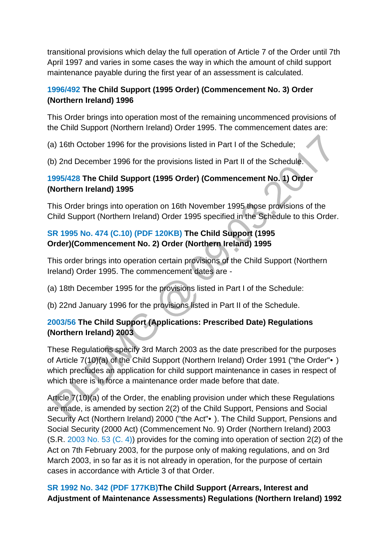transitional provisions which delay the full operation of Article 7 of the Order until 7th April 1997 and varies in some cases the way in which the amount of child support maintenance payable during the first year of an assessment is calculated.

#### **[1996/492 T](http://www.legislation.gov.uk/nisr/1996/492/contents/made)he Child Support (1995 Order) (Commencement No. 3) Order (Northern Ireland) 1996**

This Order brings into operation most of the remaining uncommenced provisions of the Child Support (Northern Ireland) Order 1995. The commencement dates are:

(a) 16th October 1996 for the provisions listed in Part I of the Schedule;

(b) 2nd December 1996 for the provisions listed in Part II of the Schedule.

### **[1995/428 T](http://www.legislation.gov.uk/nisr/1995/428/contents/made)he Child Support (1995 Order) (Commencement No. 1) Order (Northern Ireland) 1995**

This Order brings into operation on 16th November 1995 those provisions of the Child Support (Northern Ireland) Order 1995 specified in the Schedule to this Order.

# **[SR 1995 No. 474 \(C.10\) \(PDF 120KB\)](http://iaccess.communityaccess.gov.uk/sspldorangevolumesinternet/users/Viewattachment.aspx?recordid=GNMyGJDxbe8=) The Child Support (1995 Order)(Commencement No. 2) Order (Northern Ireland) 1995**

This order brings into operation certain provisions of the Child Support (Northern Ireland) Order 1995. The commencement dates are -

(a) 18th December 1995 for the provisions listed in Part I of the Schedule:

(b) 22nd January 1996 for the provisions listed in Part II of the Schedule.

### **[2003/56 T](http://www.legislation.gov.uk/nisr/2003/56/contents/made)he Child Support (Applications: Prescribed Date) Regulations (Northern Ireland) 2003**

These Regulations specify 3rd March 2003 as the date prescribed for the purposes of Article 7(10)(a) of the Child Support (Northern Ireland) Order 1991 ("the Order"•) which precludes an application for child support maintenance in cases in respect of which there is in force a maintenance order made before that date.

Article 7(10)(a) of the Order, the enabling provision under which these Regulations are made, is amended by section 2(2) of the Child Support, Pensions and Social Security Act (Northern Ireland) 2000 ("the Act"•). The Child Support, Pensions and Social Security (2000 Act) (Commencement No. 9) Order (Northern Ireland) 2003 (S.R. [2003 No. 53 \(C. 4\)\)](http://np-cmg-sharepoint.link2.gpn.gov.uk/id/nisr/2003/53) provides for the coming into operation of section 2(2) of the Act on 7th February 2003, for the purpose only of making regulations, and on 3rd March 2003, in so far as it is not already in operation, for the purpose of certain cases in accordance with Article 3 of that Order.

### **[SR 1992 No. 342 \(PDF 177KB\)T](http://iaccess.communityaccess.gov.uk/sspldorangevolumesinternet/users/Viewattachment.aspx?recordid=T+qRBxUTvbQ=)he Child Support (Arrears, Interest and Adjustment of Maintenance Assessments) Regulations (Northern Ireland) 1992**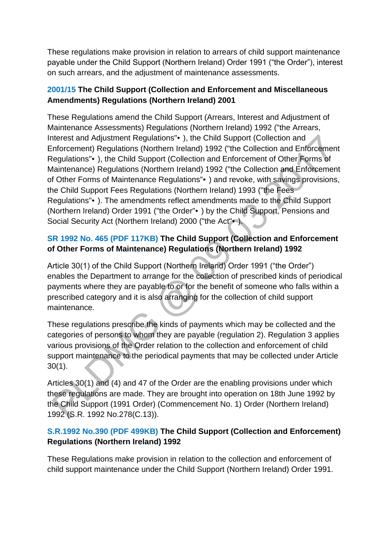These regulations make provision in relation to arrears of child support maintenance payable under the Child Support (Northern Ireland) Order 1991 ("the Order"), interest on such arrears, and the adjustment of maintenance assessments.

#### **[2001/15 T](http://www.legislation.gov.uk/nisr/2001/15/contents/made)he Child Support (Collection and Enforcement and Miscellaneous Amendments) Regulations (Northern Ireland) 2001**

These Regulations amend the Child Support (Arrears, Interest and Adjustment of Maintenance Assessments) Regulations (Northern Ireland) 1992 ("the Arrears, Interest and Adjustment Regulations"•), the Child Support (Collection and Enforcement) Regulations (Northern Ireland) 1992 ("the Collection and Enforcement Regulations"•), the Child Support (Collection and Enforcement of Other Forms of Maintenance) Regulations (Northern Ireland) 1992 ("the Collection and Enforcement of Other Forms of Maintenance Regulations"•) and revoke, with savings provisions, the Child Support Fees Regulations (Northern Ireland) 1993 ("the Fees Regulations"•). The amendments reflect amendments made to the Child Support (Northern Ireland) Order 1991 ("the Order"•) by the Child Support, Pensions and Social Security Act (Northern Ireland) 2000 ("the Act"•).

# **[SR 1992 No. 465 \(PDF 117KB\)](http://iaccess.communityaccess.gov.uk/sspldorangevolumesinternet/users/Viewattachment.aspx?recordid=A+9OYo9sEV4=) The Child Support (Collection and Enforcement of Other Forms of Maintenance) Regulations (Northern Ireland) 1992**

Article 30(1) of the Child Support (Northern Ireland) Order 1991 ("the Order") enables the Department to arrange for the collection of prescribed kinds of periodical payments where they are payable to or for the benefit of someone who falls within a prescribed category and it is also arranging for the collection of child support maintenance.

These regulations prescribe the kinds of payments which may be collected and the categories of persons to whom they are payable (regulation 2). Regulation 3 applies various provisions of the Order relation to the collection and enforcement of child support maintenance to the periodical payments that may be collected under Article 30(1).

Articles 30(1) and (4) and 47 of the Order are the enabling provisions under which these regulations are made. They are brought into operation on 18th June 1992 by the Child Support (1991 Order) (Commencement No. 1) Order (Northern Ireland) 1992 (S.R. 1992 No.278(C.13)).

### **[S.R.1992 No.390 \(PDF 499KB\)](http://iaccess.communityaccess.gov.uk/sspldorangevolumesinternet/users/Viewattachment.aspx?recordid=/maHq7u7Uto=) The Child Support (Collection and Enforcement) Regulations (Northern Ireland) 1992**

These Regulations make provision in relation to the collection and enforcement of child support maintenance under the Child Support (Northern Ireland) Order 1991.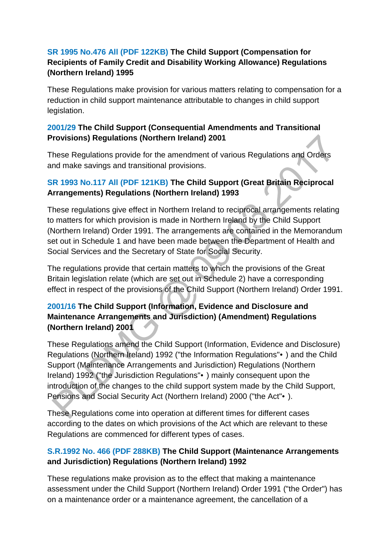#### **[SR 1995 No.476 All \(PDF 122KB\)](http://iaccess.communityaccess.gov.uk/sspldorangevolumesinternet/users/Viewattachment.aspx?recordid=RkTuFdFXYmw=) The Child Support (Compensation for Recipients of Family Credit and Disability Working Allowance) Regulations (Northern Ireland) 1995**

These Regulations make provision for various matters relating to compensation for a reduction in child support maintenance attributable to changes in child support legislation.

#### **[2001/29 T](http://www.legislation.gov.uk/nisr/2001/29/contents/made)he Child Support (Consequential Amendments and Transitional Provisions) Regulations (Northern Ireland) 2001**

These Regulations provide for the amendment of various Regulations and Orders and make savings and transitional provisions.

#### **[SR 1993 No.117 All \(PDF 121KB\)](http://iaccess.communityaccess.gov.uk/sspldorangevolumesinternet/users/Viewattachment.aspx?recordid=Kpow8Bw6QNI=) The Child Support (Great Britain Reciprocal Arrangements) Regulations (Northern Ireland) 1993**

These regulations give effect in Northern Ireland to reciprocal arrangements relating to matters for which provision is made in Northern Ireland by the Child Support (Northern Ireland) Order 1991. The arrangements are contained in the Memorandum set out in Schedule 1 and have been made between the Department of Health and Social Services and the Secretary of State for Social Security.

The regulations provide that certain matters to which the provisions of the Great Britain legislation relate (which are set out in Schedule 2) have a corresponding effect in respect of the provisions of the Child Support (Northern Ireland) Order 1991.

### **[2001/16](http://www.legislation.gov.uk/nisr/2001/16/contents/made) The Child Support (Information, Evidence and Disclosure and Maintenance Arrangements and Jurisdiction) (Amendment) Regulations (Northern Ireland) 2001**

These Regulations amend the Child Support (Information, Evidence and Disclosure) Regulations (Northern Ireland) 1992 ("the Information Regulations"•) and the Child Support (Maintenance Arrangements and Jurisdiction) Regulations (Northern Ireland) 1992 ("the Jurisdiction Regulations"•) mainly consequent upon the introduction of the changes to the child support system made by the Child Support, Pensions and Social Security Act (Northern Ireland) 2000 ("the Act"•).

These Regulations come into operation at different times for different cases according to the dates on which provisions of the Act which are relevant to these Regulations are commenced for different types of cases.

### **[S.R.1992 No. 466 \(PDF 288KB\)](http://iaccess.communityaccess.gov.uk/sspldorangevolumesinternet/users/Viewattachment.aspx?recordid=mpiFc+AH/bQ=) The Child Support (Maintenance Arrangements and Jurisdiction) Regulations (Northern Ireland) 1992**

These regulations make provision as to the effect that making a maintenance assessment under the Child Support (Northern Ireland) Order 1991 ("the Order") has on a maintenance order or a maintenance agreement, the cancellation of a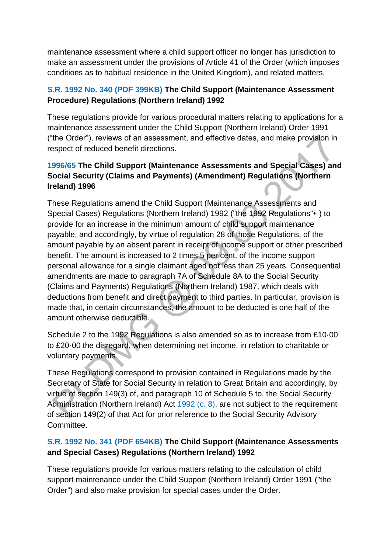maintenance assessment where a child support officer no longer has jurisdiction to make an assessment under the provisions of Article 41 of the Order (which imposes conditions as to habitual residence in the United Kingdom), and related matters.

#### **[S.R. 1992 No. 340 \(PDF 399KB\)](http://iaccess.communityaccess.gov.uk/sspldorangevolumesinternet/users/Viewattachment.aspx?recordid=+WkJ89VtaeY=) The Child Support (Maintenance Assessment Procedure) Regulations (Northern Ireland) 1992**

These regulations provide for various procedural matters relating to applications for a maintenance assessment under the Child Support (Northern Ireland) Order 1991 ("the Order"), reviews of an assessment, and effective dates, and make provision in respect of reduced benefit directions.

# **[1996/65 T](http://www.legislation.gov.uk/nisr/1996/65/contents/made)he Child Support (Maintenance Assessments and Special Cases) and Social Security (Claims and Payments) (Amendment) Regulations (Northern Ireland) 1996**

These Regulations amend the Child Support (Maintenance Assessments and Special Cases) Regulations (Northern Ireland) 1992 ("the 1992 Regulations"•) to provide for an increase in the minimum amount of child support maintenance payable, and accordingly, by virtue of regulation 28 of those Regulations, of the amount payable by an absent parent in receipt of income support or other prescribed benefit. The amount is increased to 2 times 5 per cent. of the income support personal allowance for a single claimant aged not less than 25 years. Consequential amendments are made to paragraph 7A of Schedule 8A to the Social Security (Claims and Payments) Regulations (Northern Ireland) 1987, which deals with deductions from benefit and direct payment to third parties. In particular, provision is made that, in certain circumstances, the amount to be deducted is one half of the amount otherwise deductible.

Schedule 2 to the 1992 Regulations is also amended so as to increase from £10·00 to £20·00 the disregard, when determining net income, in relation to charitable or voluntary payments.

These Regulations correspond to provision contained in Regulations made by the Secretary of State for Social Security in relation to Great Britain and accordingly, by virtue of section 149(3) of, and paragraph 10 of Schedule 5 to, the Social Security Administration (Northern Ireland) Act [1992 \(c. 8\),](http://np-cmg-sharepoint.link2.gpn.gov.uk/id/ukpga/1992/8) are not subject to the requirement of section 149(2) of that Act for prior reference to the Social Security Advisory **Committee.** 

### **[S.R. 1992 No. 341 \(PDF 654KB\)](http://iaccess.communityaccess.gov.uk/sspldorangevolumesinternet/users/Viewattachment.aspx?recordid=EzFX1HN8xsw=) The Child Support (Maintenance Assessments and Special Cases) Regulations (Northern Ireland) 1992**

These regulations provide for various matters relating to the calculation of child support maintenance under the Child Support (Northern Ireland) Order 1991 ("the Order") and also make provision for special cases under the Order.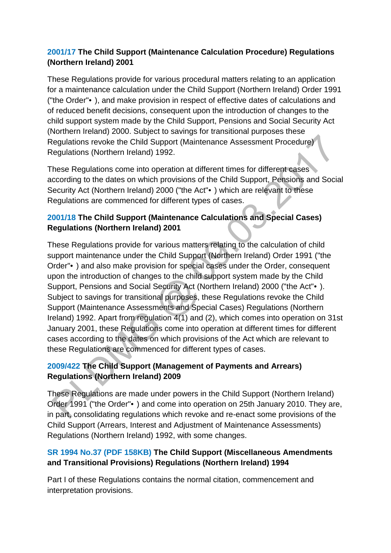#### **[2001/17 T](http://www.legislation.gov.uk/nisr/2001/17/contents/made)he Child Support (Maintenance Calculation Procedure) Regulations (Northern Ireland) 2001**

These Regulations provide for various procedural matters relating to an application for a maintenance calculation under the Child Support (Northern Ireland) Order 1991 ("the Order"•), and make provision in respect of effective dates of calculations and of reduced benefit decisions, consequent upon the introduction of changes to the child support system made by the Child Support, Pensions and Social Security Act (Northern Ireland) 2000. Subject to savings for transitional purposes these Regulations revoke the Child Support (Maintenance Assessment Procedure) Regulations (Northern Ireland) 1992.

These Regulations come into operation at different times for different cases according to the dates on which provisions of the Child Support, Pensions and Social Security Act (Northern Ireland) 2000 ("the Act"•) which are relevant to these Regulations are commenced for different types of cases.

# **[2001/18 T](http://www.legislation.gov.uk/nisr/2001/18/contents/made)he Child Support (Maintenance Calculations and Special Cases) Regulations (Northern Ireland) 2001**

These Regulations provide for various matters relating to the calculation of child support maintenance under the Child Support (Northern Ireland) Order 1991 ("the Order"•) and also make provision for special cases under the Order, consequent upon the introduction of changes to the child support system made by the Child Support, Pensions and Social Security Act (Northern Ireland) 2000 ("the Act"•). Subject to savings for transitional purposes, these Regulations revoke the Child Support (Maintenance Assessments and Special Cases) Regulations (Northern Ireland) 1992. Apart from regulation 4(1) and (2), which comes into operation on 31st January 2001, these Regulations come into operation at different times for different cases according to the dates on which provisions of the Act which are relevant to these Regulations are commenced for different types of cases.

### **[2009/422 T](http://www.legislation.gov.uk/nisr/2009/422/contents/made)he Child Support (Management of Payments and Arrears) Regulations (Northern Ireland) 2009**

These Regulations are made under powers in the Child Support (Northern Ireland) Order 1991 ("the Order"•) and come into operation on 25th January 2010. They are, in part, consolidating regulations which revoke and re-enact some provisions of the Child Support (Arrears, Interest and Adjustment of Maintenance Assessments) Regulations (Northern Ireland) 1992, with some changes.

### **[SR 1994 No.37 \(PDF 158KB\)](http://iaccess.communityaccess.gov.uk/sspldorangevolumesinternet/users/Viewattachment.aspx?recordid=Qdk7jw8gp6c=) The Child Support (Miscellaneous Amendments and Transitional Provisions) Regulations (Northern Ireland) 1994**

Part I of these Regulations contains the normal citation, commencement and interpretation provisions.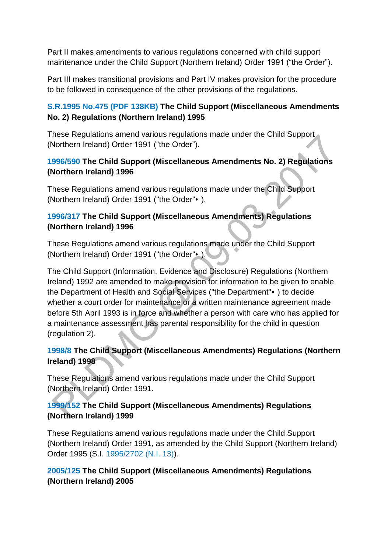Part II makes amendments to various regulations concerned with child support maintenance under the Child Support (Northern Ireland) Order 1991 ("the Order").

Part III makes transitional provisions and Part IV makes provision for the procedure to be followed in consequence of the other provisions of the regulations.

#### **[S.R.1995 No.475 \(PDF 138KB\)](http://iaccess.communityaccess.gov.uk/sspldorangevolumesinternet/users/Viewattachment.aspx?recordid=VZjZAtfu+vw=) The Child Support (Miscellaneous Amendments No. 2) Regulations (Northern Ireland) 1995**

These Regulations amend various regulations made under the Child Support (Northern Ireland) Order 1991 ("the Order").

### **[1996/590 T](http://www.legislation.gov.uk/nisr/1996/590/contents/made)he Child Support (Miscellaneous Amendments No. 2) Regulations (Northern Ireland) 1996**

These Regulations amend various regulations made under the Child Support (Northern Ireland) Order 1991 ("the Order"•).

# **[1996/317 T](http://www.legislation.gov.uk/nisr/1996/317/contents/made)he Child Support (Miscellaneous Amendments) Regulations (Northern Ireland) 1996**

These Regulations amend various regulations made under the Child Support (Northern Ireland) Order 1991 ("the Order"•).

The Child Support (Information, Evidence and Disclosure) Regulations (Northern Ireland) 1992 are amended to make provision for information to be given to enable the Department of Health and Social Services ("the Department"•) to decide whether a court order for maintenance or a written maintenance agreement made before 5th April 1993 is in force and whether a person with care who has applied for a maintenance assessment has parental responsibility for the child in question (regulation 2).

### **[1998/8](http://www.legislation.gov.uk/nisr/1998/8/contents/made) The Child Support (Miscellaneous Amendments) Regulations (Northern Ireland) 1998**

These Regulations amend various regulations made under the Child Support (Northern Ireland) Order 1991.

### **[1999/152 T](http://www.legislation.gov.uk/nisr/1999/152/contents/made)he Child Support (Miscellaneous Amendments) Regulations (Northern Ireland) 1999**

These Regulations amend various regulations made under the Child Support (Northern Ireland) Order 1991, as amended by the Child Support (Northern Ireland) Order 1995 (S.I. [1995/2702 \(N.I. 13\)\)](http://np-cmg-sharepoint.link2.gpn.gov.uk/id/nisi/1995/2702).

#### **[2005/125 T](http://www.legislation.gov.uk/nisr/2005/125/contents/made)he Child Support (Miscellaneous Amendments) Regulations (Northern Ireland) 2005**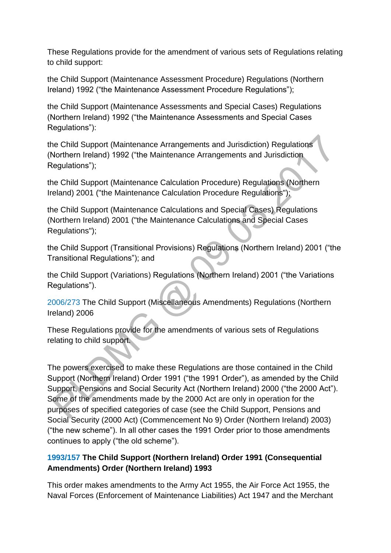These Regulations provide for the amendment of various sets of Regulations relating to child support:

the Child Support (Maintenance Assessment Procedure) Regulations (Northern Ireland) 1992 ("the Maintenance Assessment Procedure Regulations");

the Child Support (Maintenance Assessments and Special Cases) Regulations (Northern Ireland) 1992 ("the Maintenance Assessments and Special Cases Regulations"):

the Child Support (Maintenance Arrangements and Jurisdiction) Regulations (Northern Ireland) 1992 ("the Maintenance Arrangements and Jurisdiction Regulations");

the Child Support (Maintenance Calculation Procedure) Regulations (Northern Ireland) 2001 ("the Maintenance Calculation Procedure Regulations");

the Child Support (Maintenance Calculations and Special Cases) Regulations (Northern Ireland) 2001 ("the Maintenance Calculations and Special Cases Regulations");

the Child Support (Transitional Provisions) Regulations (Northern Ireland) 2001 ("the Transitional Regulations"); and

the Child Support (Variations) Regulations (Northern Ireland) 2001 ("the Variations Regulations").

[2006/273 T](http://www.legislation.gov.uk/nisr/2006/273/note/made)he Child Support (Miscellaneous Amendments) Regulations (Northern Ireland) 2006

These Regulations provide for the amendments of various sets of Regulations relating to child support.

The powers exercised to make these Regulations are those contained in the Child Support (Northern Ireland) Order 1991 ("the 1991 Order"), as amended by the Child Support, Pensions and Social Security Act (Northern Ireland) 2000 ("the 2000 Act"). Some of the amendments made by the 2000 Act are only in operation for the purposes of specified categories of case (see the Child Support, Pensions and Social Security (2000 Act) (Commencement No 9) Order (Northern Ireland) 2003) ("the new scheme"). In all other cases the 1991 Order prior to those amendments continues to apply ("the old scheme").

### **[1993/157 T](http://www.legislation.gov.uk/nisr/1993/157/contents/made)he Child Support (Northern Ireland) Order 1991 (Consequential Amendments) Order (Northern Ireland) 1993**

This order makes amendments to the Army Act 1955, the Air Force Act 1955, the Naval Forces (Enforcement of Maintenance Liabilities) Act 1947 and the Merchant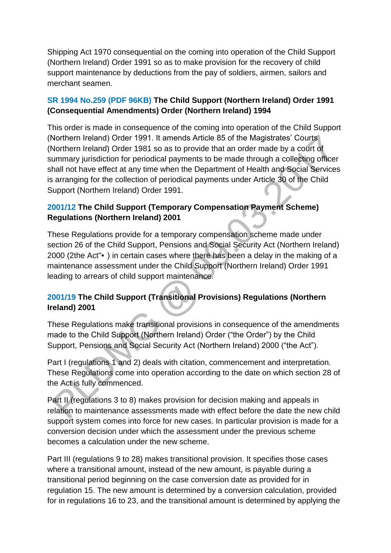Shipping Act 1970 consequential on the coming into operation of the Child Support (Northern Ireland) Order 1991 so as to make provision for the recovery of child support maintenance by deductions from the pay of soldiers, airmen, sailors and merchant seamen.

### **[SR 1994 No.259 \(PDF 96KB\)](http://iaccess.communityaccess.gov.uk/sspldorangevolumesinternet/users/Viewattachment.aspx?recordid=4wF89p+Joxo=) The Child Support (Northern Ireland) Order 1991 (Consequential Amendments) Order (Northern Ireland) 1994**

This order is made in consequence of the coming into operation of the Child Support (Northern Ireland) Order 1991. It amends Article 85 of the Magistrates' Courts (Northern Ireland) Order 1981 so as to provide that an order made by a court of summary jurisdiction for periodical payments to be made through a collecting officer shall not have effect at any time when the Department of Health and Social Services is arranging for the collection of periodical payments under Article 30 of the Child Support (Northern Ireland) Order 1991.

### **[2001/12 T](http://www.legislation.gov.uk/nisr/2001/12/contents/made)he Child Support (Temporary Compensation Payment Scheme) Regulations (Northern Ireland) 2001**

These Regulations provide for a temporary compensation scheme made under section 26 of the Child Support, Pensions and Social Security Act (Northern Ireland) 2000 (2the Act"•) in certain cases where there has been a delay in the making of a maintenance assessment under the Child Support (Northern Ireland) Order 1991 leading to arrears of child support maintenance.

# **[2001/19 T](http://www.legislation.gov.uk/nisr/2001/19/contents/made)he Child Support (Transitional Provisions) Regulations (Northern Ireland) 2001**

These Regulations make transitional provisions in consequence of the amendments made to the Child Support (Northern Ireland) Order ("the Order") by the Child Support, Pensions and Social Security Act (Northern Ireland) 2000 ("the Act").

Part I (regulations 1 and 2) deals with citation, commencement and interpretation. These Regulations come into operation according to the date on which section 28 of the Act is fully commenced.

Part II (regulations 3 to 8) makes provision for decision making and appeals in relation to maintenance assessments made with effect before the date the new child support system comes into force for new cases. In particular provision is made for a conversion decision under which the assessment under the previous scheme becomes a calculation under the new scheme.

Part III (regulations 9 to 28) makes transitional provision. It specifies those cases where a transitional amount, instead of the new amount, is payable during a transitional period beginning on the case conversion date as provided for in regulation 15. The new amount is determined by a conversion calculation, provided for in regulations 16 to 23, and the transitional amount is determined by applying the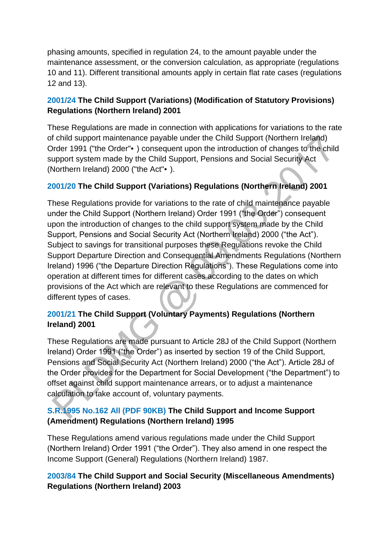phasing amounts, specified in regulation 24, to the amount payable under the maintenance assessment, or the conversion calculation, as appropriate (regulations 10 and 11). Different transitional amounts apply in certain flat rate cases (regulations 12 and 13).

### **[2001/24 T](http://www.legislation.gov.uk/nisr/2001/24/contents/made)he Child Support (Variations) (Modification of Statutory Provisions) Regulations (Northern Ireland) 2001**

These Regulations are made in connection with applications for variations to the rate of child support maintenance payable under the Child Support (Northern Ireland) Order 1991 ("the Order"•) consequent upon the introduction of changes to the child support system made by the Child Support, Pensions and Social Security Act (Northern Ireland) 2000 ("the Act"•).

# **[2001/20 T](http://www.legislation.gov.uk/nisr/2001/20/contents/made)he Child Support (Variations) Regulations (Northern Ireland) 2001**

These Regulations provide for variations to the rate of child maintenance payable under the Child Support (Northern Ireland) Order 1991 ("the Order") consequent upon the introduction of changes to the child support system made by the Child Support, Pensions and Social Security Act (Northern Ireland) 2000 ("the Act"). Subject to savings for transitional purposes these Regulations revoke the Child Support Departure Direction and Consequential Amendments Regulations (Northern Ireland) 1996 ("the Departure Direction Regulations"). These Regulations come into operation at different times for different cases according to the dates on which provisions of the Act which are relevant to these Regulations are commenced for different types of cases.

# **[2001/21 T](http://www.legislation.gov.uk/nisr/2001/21/contents/made)he Child Support (Voluntary Payments) Regulations (Northern Ireland) 2001**

These Regulations are made pursuant to Article 28J of the Child Support (Northern Ireland) Order 1991 ("the Order") as inserted by section 19 of the Child Support, Pensions and Social Security Act (Northern Ireland) 2000 ("the Act"). Article 28J of the Order provides for the Department for Social Development ("the Department") to offset against child support maintenance arrears, or to adjust a maintenance calculation to take account of, voluntary payments.

# **[S.R.1995 No.162 All \(PDF 90KB\)](http://iaccess.communityaccess.gov.uk/sspldorangevolumesinternet/users/Viewattachment.aspx?recordid=AVc7IhGU16k=) The Child Support and Income Support (Amendment) Regulations (Northern Ireland) 1995**

These Regulations amend various regulations made under the Child Support (Northern Ireland) Order 1991 ("the Order"). They also amend in one respect the Income Support (General) Regulations (Northern Ireland) 1987.

### **[2003/84 T](http://www.legislation.gov.uk/nisr/2003/84/contents/made)he Child Support and Social Security (Miscellaneous Amendments) Regulations (Northern Ireland) 2003**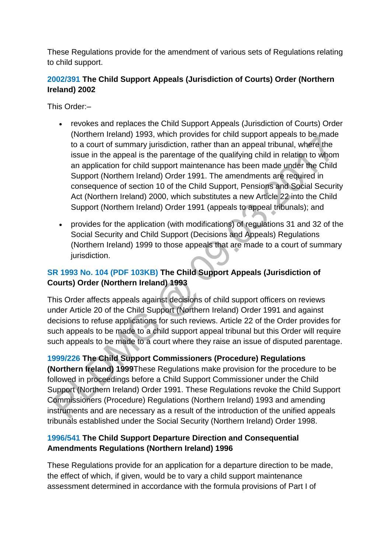These Regulations provide for the amendment of various sets of Regulations relating to child support.

# **[2002/391 T](http://www.legislation.gov.uk/nisr/2002/391/contents/made)he Child Support Appeals (Jurisdiction of Courts) Order (Northern Ireland) 2002**

This Order:–

- revokes and replaces the Child Support Appeals (Jurisdiction of Courts) Order (Northern Ireland) 1993, which provides for child support appeals to be made to a court of summary jurisdiction, rather than an appeal tribunal, where the issue in the appeal is the parentage of the qualifying child in relation to whom an application for child support maintenance has been made under the Child Support (Northern Ireland) Order 1991. The amendments are required in consequence of section 10 of the Child Support, Pensions and Social Security Act (Northern Ireland) 2000, which substitutes a new Article 22 into the Child Support (Northern Ireland) Order 1991 (appeals to appeal tribunals); and
- provides for the application (with modifications) of regulations 31 and 32 of the Social Security and Child Support (Decisions and Appeals) Regulations (Northern Ireland) 1999 to those appeals that are made to a court of summary jurisdiction.

# **[SR 1993 No. 104 \(PDF 103KB\)](http://iaccess.communityaccess.gov.uk/sspldorangevolumesinternet/users/Viewattachment.aspx?recordid=UgG036FRUns=) The Child Support Appeals (Jurisdiction of Courts) Order (Northern Ireland) 1993**

This Order affects appeals against decisions of child support officers on reviews under Article 20 of the Child Support (Northern Ireland) Order 1991 and against decisions to refuse applications for such reviews. Article 22 of the Order provides for such appeals to be made to a child support appeal tribunal but this Order will require such appeals to be made to a court where they raise an issue of disputed parentage.

### **[1999/226 T](http://www.legislation.gov.uk/nisr/1999/226/contents/made)he Child Support Commissioners (Procedure) Regulations**

**(Northern Ireland) 1999**These Regulations make provision for the procedure to be followed in proceedings before a Child Support Commissioner under the Child Support (Northern Ireland) Order 1991. These Regulations revoke the Child Support Commissioners (Procedure) Regulations (Northern Ireland) 1993 and amending instruments and are necessary as a result of the introduction of the unified appeals tribunals established under the Social Security (Northern Ireland) Order 1998.

### **[1996/541 T](http://www.legislation.gov.uk/nisr/1996/541/contents/made)he Child Support Departure Direction and Consequential Amendments Regulations (Northern Ireland) 1996**

These Regulations provide for an application for a departure direction to be made, the effect of which, if given, would be to vary a child support maintenance assessment determined in accordance with the formula provisions of Part I of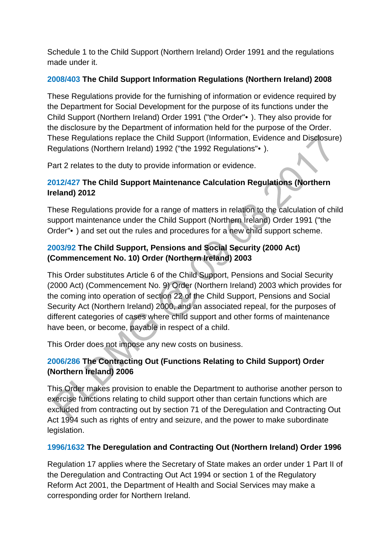Schedule 1 to the Child Support (Northern Ireland) Order 1991 and the regulations made under it.

#### **[2008/403 T](http://www.legislation.gov.uk/nisr/2008/403/contents/sld/made)he Child Support Information Regulations (Northern Ireland) 2008**

These Regulations provide for the furnishing of information or evidence required by the Department for Social Development for the purpose of its functions under the Child Support (Northern Ireland) Order 1991 ("the Order"•). They also provide for the disclosure by the Department of information held for the purpose of the Order. These Regulations replace the Child Support (Information, Evidence and Disclosure) Regulations (Northern Ireland) 1992 ("the 1992 Regulations"•).

Part 2 relates to the duty to provide information or evidence.

### **[2012/427 T](http://www.legislation.gov.uk/nisr/2012/427/contents/made)he Child Support Maintenance Calculation Regulations (Northern Ireland) 2012**

These Regulations provide for a range of matters in relation to the calculation of child support maintenance under the Child Support (Northern Ireland) Order 1991 ("the Order"•) and set out the rules and procedures for a new child support scheme.

# **[2003/92 T](http://www.legislation.gov.uk/nisr/2003/92/note/made)he Child Support, Pensions and Social Security (2000 Act) (Commencement No. 10) Order (Northern Ireland) 2003**

This Order substitutes Article 6 of the Child Support, Pensions and Social Security (2000 Act) (Commencement No. 9) Order (Northern Ireland) 2003 which provides for the coming into operation of section 22 of the Child Support, Pensions and Social Security Act (Northern Ireland) 2000, and an associated repeal, for the purposes of different categories of cases where child support and other forms of maintenance have been, or become, payable in respect of a child.

This Order does not impose any new costs on business.

# **[2006/286 T](http://www.legislation.gov.uk/nisr/2006/286/contents/made)he Contracting Out (Functions Relating to Child Support) Order (Northern Ireland) 2006**

This Order makes provision to enable the Department to authorise another person to exercise functions relating to child support other than certain functions which are excluded from contracting out by section 71 of the Deregulation and Contracting Out Act 1994 such as rights of entry and seizure, and the power to make subordinate legislation.

### **[1996/1632 T](http://www.legislation.gov.uk/nisi/1996/1632/contents)he Deregulation and Contracting Out (Northern Ireland) Order 1996**

Regulation 17 applies where the Secretary of State makes an order under 1 Part II of the Deregulation and Contracting Out Act 1994 or section 1 of the Regulatory Reform Act 2001, the Department of Health and Social Services may make a corresponding order for Northern Ireland.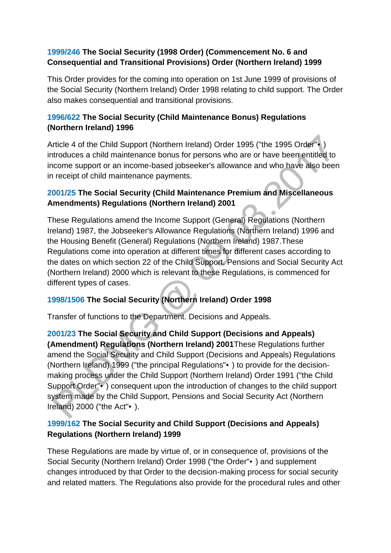#### **[1999/246 T](http://www.legislation.gov.uk/nisr/1999/246/contents/made)he Social Security (1998 Order) (Commencement No. 6 and Consequential and Transitional Provisions) Order (Northern Ireland) 1999**

This Order provides for the coming into operation on 1st June 1999 of provisions of the Social Security (Northern Ireland) Order 1998 relating to child support. The Order also makes consequential and transitional provisions.

### **[1996/622 T](http://www.legislation.gov.uk/nisr/1996/622/contents/made)he Social Security (Child Maintenance Bonus) Regulations (Northern Ireland) 1996**

Article 4 of the Child Support (Northern Ireland) Order 1995 ("the 1995 Order"•) introduces a child maintenance bonus for persons who are or have been entitled to income support or an income-based jobseeker's allowance and who have also been in receipt of child maintenance payments.

### **[2001/25 T](http://www.legislation.gov.uk/nisr/2001/25/contents/made)he Social Security (Child Maintenance Premium and Miscellaneous Amendments) Regulations (Northern Ireland) 2001**

These Regulations amend the Income Support (General) Regulations (Northern Ireland) 1987, the Jobseeker's Allowance Regulations (Northern Ireland) 1996 and the Housing Benefit (General) Regulations (Northern Ireland) 1987.These Regulations come into operation at different times for different cases according to the dates on which section 22 of the Child Support, Pensions and Social Security Act (Northern Ireland) 2000 which is relevant to these Regulations, is commenced for different types of cases.

# **[1998/1506 T](http://www.legislation.gov.uk/nisi/1998/1506/contents)he Social Security (Northern Ireland) Order 1998**

Transfer of functions to the Department. Decisions and Appeals.

**[2001/23 T](http://www.legislation.gov.uk/nisr/2001/23/contents/made)he Social Security and Child Support (Decisions and Appeals) (Amendment) Regulations (Northern Ireland) 2001**These Regulations further amend the Social Security and Child Support (Decisions and Appeals) Regulations (Northern Ireland) 1999 ("the principal Regulations"•) to provide for the decisionmaking process under the Child Support (Northern Ireland) Order 1991 ("the Child Support Order"•) consequent upon the introduction of changes to the child support system made by the Child Support, Pensions and Social Security Act (Northern Ireland) 2000 ("the Act"•).

# **[1999/162 T](http://www.legislation.gov.uk/nisr/1999/162/contents/made)he Social Security and Child Support (Decisions and Appeals) Regulations (Northern Ireland) 1999**

These Regulations are made by virtue of, or in consequence of, provisions of the Social Security (Northern Ireland) Order 1998 ("the Order"•) and supplement changes introduced by that Order to the decision-making process for social security and related matters. The Regulations also provide for the procedural rules and other